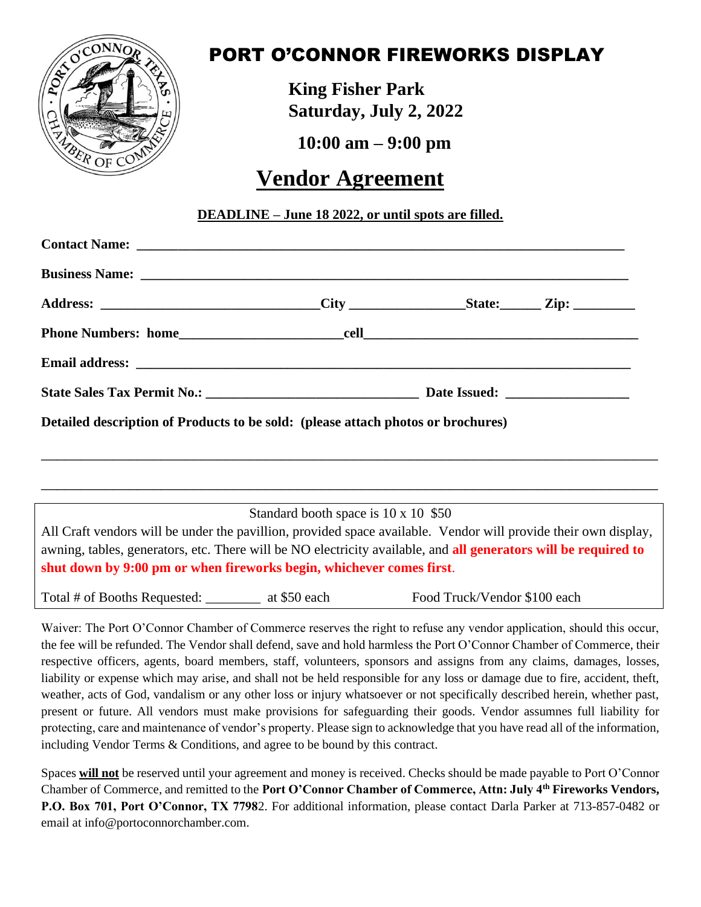

## PORT O'CONNOR FIREWORKS DISPLAY

**King Fisher Park Saturday, July 2, 2022**

**10:00 am – 9:00 pm**

## **Vendor Agreement**

## **DEADLINE – June 18 2022, or until spots are filled.**

| Address: ________________________________City __________________State: ________Zip: ________________ |  |  |
|------------------------------------------------------------------------------------------------------|--|--|
|                                                                                                      |  |  |
|                                                                                                      |  |  |
|                                                                                                      |  |  |
| Detailed description of Products to be sold: (please attach photos or brochures)                     |  |  |
|                                                                                                      |  |  |
|                                                                                                      |  |  |

Standard booth space is 10 x 10 \$50

All Craft vendors will be under the pavillion, provided space available. Vendor will provide their own display, awning, tables, generators, etc. There will be NO electricity available, and **all generators will be required to shut down by 9:00 pm or when fireworks begin, whichever comes first**.

Total # of Booths Requested:  $\begin{array}{c}\n \text{at $50$ each} \\
\text{at $600$} \\
\text{at $100$} \\
\text{at $100$} \\
\text{at $100$} \\
\text{at $100$} \\
\text{at $100$} \\
\text{at $100$} \\
\text{at $100$} \\
\text{at $100$} \\
\text{at $100$} \\
\text{at $100$} \\
\text{at $100$} \\
\text{at $100$} \\
\text{at $100$} \\
\text{at $100$} \\
\text{at $100$ 

Waiver: The Port O'Connor Chamber of Commerce reserves the right to refuse any vendor application, should this occur, the fee will be refunded. The Vendor shall defend, save and hold harmless the Port O'Connor Chamber of Commerce, their respective officers, agents, board members, staff, volunteers, sponsors and assigns from any claims, damages, losses, liability or expense which may arise, and shall not be held responsible for any loss or damage due to fire, accident, theft, weather, acts of God, vandalism or any other loss or injury whatsoever or not specifically described herein, whether past, present or future. All vendors must make provisions for safeguarding their goods. Vendor assumnes full liability for protecting, care and maintenance of vendor's property. Please sign to acknowledge that you have read all of the information, including Vendor Terms & Conditions, and agree to be bound by this contract.

Spaces **will not** be reserved until your agreement and money is received. Checks should be made payable to Port O'Connor Chamber of Commerce, and remitted to the **Port O'Connor Chamber of Commerce, Attn: July 4th Fireworks Vendors, P.O. Box 701, Port O'Connor, TX 7798**2. For additional information, please contact Darla Parker at 713-857-0482 or email at info@portoconnorchamber.com.